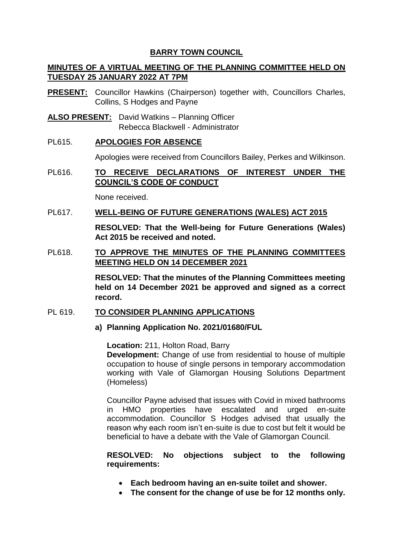# **BARRY TOWN COUNCIL**

# **MINUTES OF A VIRTUAL MEETING OF THE PLANNING COMMITTEE HELD ON TUESDAY 25 JANUARY 2022 AT 7PM**

- **PRESENT:** Councillor Hawkins (Chairperson) together with, Councillors Charles, Collins, S Hodges and Payne
- **ALSO PRESENT:** David Watkins Planning Officer Rebecca Blackwell - Administrator
- PL615. **APOLOGIES FOR ABSENCE**

Apologies were received from Councillors Bailey, Perkes and Wilkinson.

PL616. **TO RECEIVE DECLARATIONS OF INTEREST UNDER THE COUNCIL'S CODE OF CONDUCT**

None received.

PL617. **WELL-BEING OF FUTURE GENERATIONS (WALES) ACT 2015**

**RESOLVED: That the Well-being for Future Generations (Wales) Act 2015 be received and noted.** 

PL618. **TO APPROVE THE MINUTES OF THE PLANNING COMMITTEES MEETING HELD ON 14 DECEMBER 2021**

> **RESOLVED: That the minutes of the Planning Committees meeting held on 14 December 2021 be approved and signed as a correct record.**

# PL 619. **TO CONSIDER PLANNING APPLICATIONS**

**a) Planning Application No. 2021/01680/FUL** 

**Location:** 211, Holton Road, Barry **Development:** Change of use from residential to house of multiple occupation to house of single persons in temporary accommodation working with Vale of Glamorgan Housing Solutions Department (Homeless)

Councillor Payne advised that issues with Covid in mixed bathrooms in HMO properties have escalated and urged en-suite accommodation. Councillor S Hodges advised that usually the reason why each room isn't en-suite is due to cost but felt it would be beneficial to have a debate with the Vale of Glamorgan Council.

# **RESOLVED: No objections subject to the following requirements:**

- **Each bedroom having an en-suite toilet and shower.**
- **The consent for the change of use be for 12 months only.**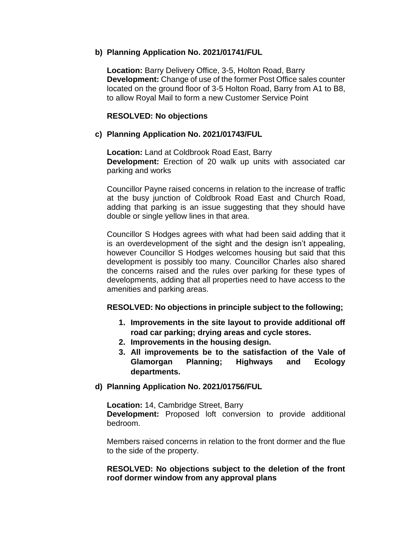# **b) Planning Application No. 2021/01741/FUL**

**Location:** Barry Delivery Office, 3-5, Holton Road, Barry **Development:** Change of use of the former Post Office sales counter located on the ground floor of 3-5 Holton Road, Barry from A1 to B8, to allow Royal Mail to form a new Customer Service Point

## **RESOLVED: No objections**

# **c) Planning Application No. 2021/01743/FUL**

**Location:** Land at Coldbrook Road East, Barry **Development:** Erection of 20 walk up units with associated car parking and works

Councillor Payne raised concerns in relation to the increase of traffic at the busy junction of Coldbrook Road East and Church Road, adding that parking is an issue suggesting that they should have double or single yellow lines in that area.

Councillor S Hodges agrees with what had been said adding that it is an overdevelopment of the sight and the design isn't appealing, however Councillor S Hodges welcomes housing but said that this development is possibly too many. Councillor Charles also shared the concerns raised and the rules over parking for these types of developments, adding that all properties need to have access to the amenities and parking areas.

# **RESOLVED: No objections in principle subject to the following;**

- **1. Improvements in the site layout to provide additional off road car parking; drying areas and cycle stores.**
- **2. Improvements in the housing design.**
- **3. All improvements be to the satisfaction of the Vale of Glamorgan Planning; Highways and Ecology departments.**

### **d) Planning Application No. 2021/01756/FUL**

**Location:** 14, Cambridge Street, Barry **Development:** Proposed loft conversion to provide additional bedroom.

Members raised concerns in relation to the front dormer and the flue to the side of the property.

## **RESOLVED: No objections subject to the deletion of the front roof dormer window from any approval plans**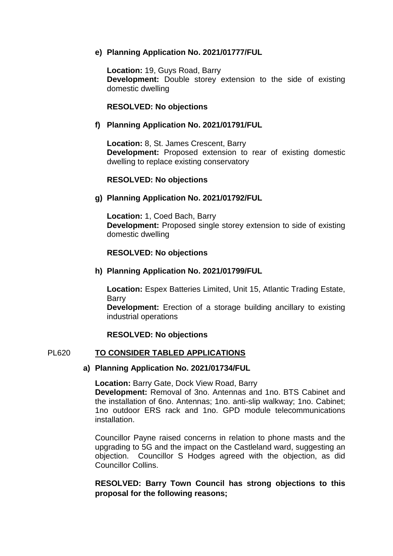# **e) Planning Application No. 2021/01777/FUL**

**Location:** 19, Guys Road, Barry **Development:** Double storey extension to the side of existing domestic dwelling

# **RESOLVED: No objections**

## **f) Planning Application No. 2021/01791/FUL**

**Location:** 8, St. James Crescent, Barry **Development:** Proposed extension to rear of existing domestic dwelling to replace existing conservatory

### **RESOLVED: No objections**

## **g) Planning Application No. 2021/01792/FUL**

**Location:** 1, Coed Bach, Barry **Development:** Proposed single storey extension to side of existing domestic dwelling

## **RESOLVED: No objections**

### **h) Planning Application No. 2021/01799/FUL**

**Location:** Espex Batteries Limited, Unit 15, Atlantic Trading Estate, Barry

**Development:** Erection of a storage building ancillary to existing industrial operations

### **RESOLVED: No objections**

### PL620 **TO CONSIDER TABLED APPLICATIONS**

### **a) Planning Application No. 2021/01734/FUL**

**Location:** Barry Gate, Dock View Road, Barry

**Development:** Removal of 3no. Antennas and 1no. BTS Cabinet and the installation of 6no. Antennas; 1no. anti-slip walkway; 1no. Cabinet; 1no outdoor ERS rack and 1no. GPD module telecommunications installation.

Councillor Payne raised concerns in relation to phone masts and the upgrading to 5G and the impact on the Castleland ward, suggesting an objection. Councillor S Hodges agreed with the objection, as did Councillor Collins.

# **RESOLVED: Barry Town Council has strong objections to this proposal for the following reasons;**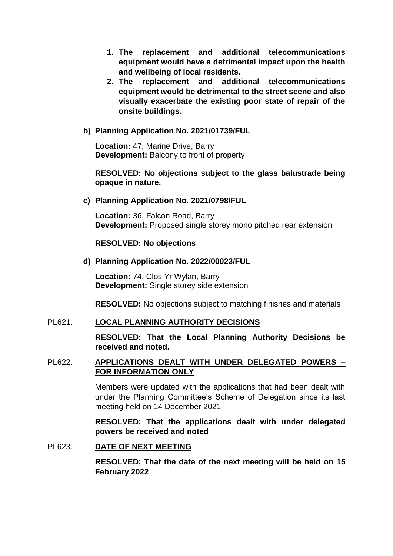- **1. The replacement and additional telecommunications equipment would have a detrimental impact upon the health and wellbeing of local residents.**
- **2. The replacement and additional telecommunications equipment would be detrimental to the street scene and also visually exacerbate the existing poor state of repair of the onsite buildings.**

# **b) Planning Application No. 2021/01739/FUL**

**Location:** 47, Marine Drive, Barry **Development:** Balcony to front of property

## **RESOLVED: No objections subject to the glass balustrade being opaque in nature.**

### **c) Planning Application No. 2021/0798/FUL**

**Location:** 36, Falcon Road, Barry **Development:** Proposed single storey mono pitched rear extension

### **RESOLVED: No objections**

### **d) Planning Application No. 2022/00023/FUL**

**Location:** 74, Clos Yr Wylan, Barry **Development:** Single storey side extension

**RESOLVED:** No objections subject to matching finishes and materials

## PL621. **LOCAL PLANNING AUTHORITY DECISIONS**

**RESOLVED: That the Local Planning Authority Decisions be received and noted.** 

# PL622. **APPLICATIONS DEALT WITH UNDER DELEGATED POWERS – FOR INFORMATION ONLY**

Members were updated with the applications that had been dealt with under the Planning Committee's Scheme of Delegation since its last meeting held on 14 December 2021

**RESOLVED: That the applications dealt with under delegated powers be received and noted**

### PL623. **DATE OF NEXT MEETING**

**RESOLVED: That the date of the next meeting will be held on 15 February 2022**